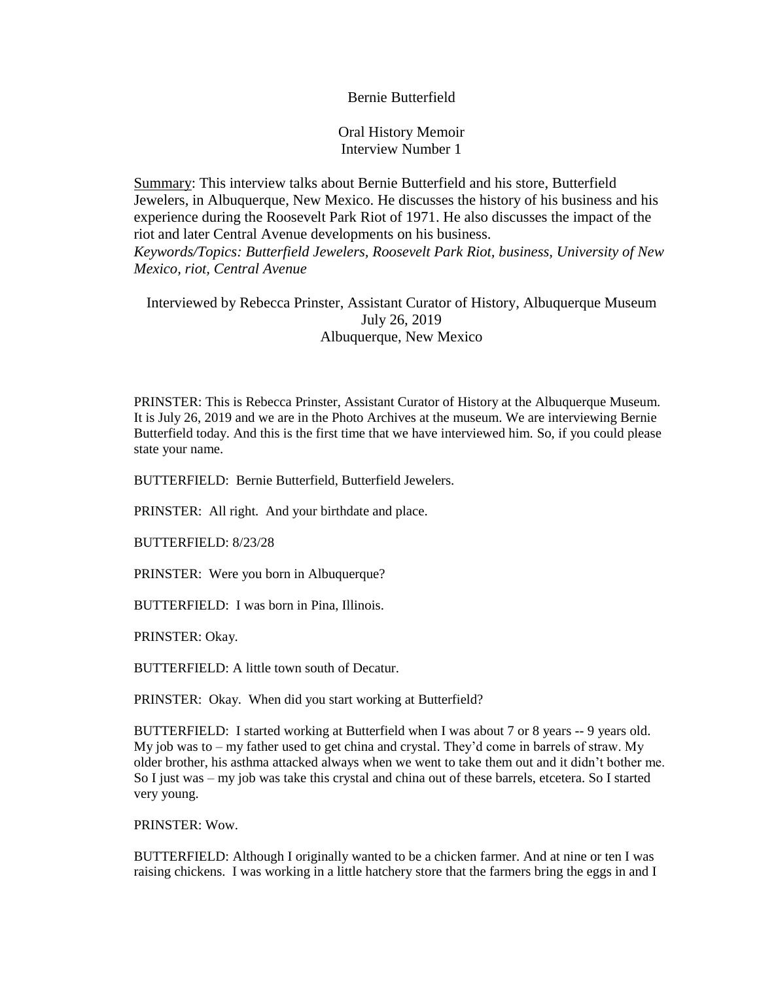## Bernie Butterfield

Oral History Memoir Interview Number 1

Summary: This interview talks about Bernie Butterfield and his store, Butterfield Jewelers, in Albuquerque, New Mexico. He discusses the history of his business and his experience during the Roosevelt Park Riot of 1971. He also discusses the impact of the riot and later Central Avenue developments on his business. *Keywords/Topics: Butterfield Jewelers, Roosevelt Park Riot, business, University of New Mexico, riot, Central Avenue*

Interviewed by Rebecca Prinster, Assistant Curator of History, Albuquerque Museum July 26, 2019 Albuquerque, New Mexico

PRINSTER: This is Rebecca Prinster, Assistant Curator of History at the Albuquerque Museum. It is July 26, 2019 and we are in the Photo Archives at the museum. We are interviewing Bernie Butterfield today. And this is the first time that we have interviewed him. So, if you could please state your name.

BUTTERFIELD: Bernie Butterfield, Butterfield Jewelers.

PRINSTER: All right. And your birthdate and place.

BUTTERFIELD: 8/23/28

PRINSTER: Were you born in Albuquerque?

BUTTERFIELD: I was born in Pina, Illinois.

PRINSTER: Okay.

BUTTERFIELD: A little town south of Decatur.

PRINSTER: Okay. When did you start working at Butterfield?

BUTTERFIELD: I started working at Butterfield when I was about 7 or 8 years -- 9 years old. My job was to – my father used to get china and crystal. They'd come in barrels of straw. My older brother, his asthma attacked always when we went to take them out and it didn't bother me. So I just was – my job was take this crystal and china out of these barrels, etcetera. So I started very young.

PRINSTER: Wow.

BUTTERFIELD: Although I originally wanted to be a chicken farmer. And at nine or ten I was raising chickens. I was working in a little hatchery store that the farmers bring the eggs in and I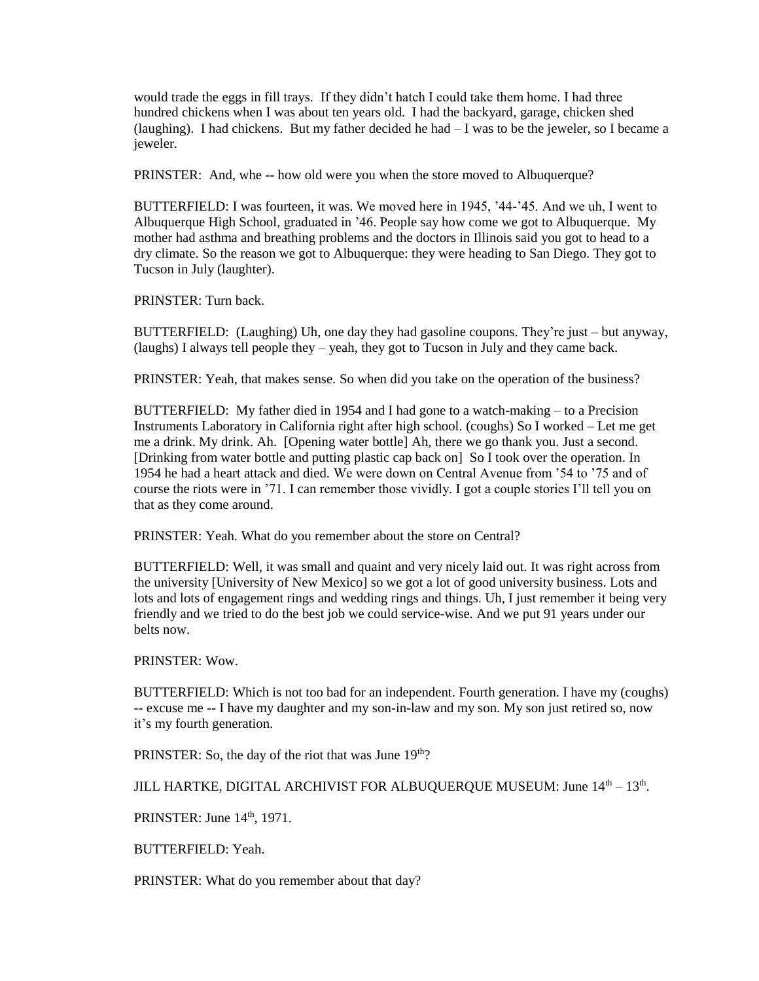would trade the eggs in fill trays. If they didn't hatch I could take them home. I had three hundred chickens when I was about ten years old. I had the backyard, garage, chicken shed (laughing). I had chickens. But my father decided he had  $-1$  was to be the jeweler, so I became a jeweler.

PRINSTER: And, whe -- how old were you when the store moved to Albuquerque?

BUTTERFIELD: I was fourteen, it was. We moved here in 1945, '44-'45. And we uh, I went to Albuquerque High School, graduated in '46. People say how come we got to Albuquerque. My mother had asthma and breathing problems and the doctors in Illinois said you got to head to a dry climate. So the reason we got to Albuquerque: they were heading to San Diego. They got to Tucson in July (laughter).

PRINSTER: Turn back.

BUTTERFIELD: (Laughing) Uh, one day they had gasoline coupons. They're just – but anyway, (laughs) I always tell people they – yeah, they got to Tucson in July and they came back.

PRINSTER: Yeah, that makes sense. So when did you take on the operation of the business?

BUTTERFIELD: My father died in 1954 and I had gone to a watch-making – to a Precision Instruments Laboratory in California right after high school. (coughs) So I worked – Let me get me a drink. My drink. Ah. [Opening water bottle] Ah, there we go thank you. Just a second. [Drinking from water bottle and putting plastic cap back on] So I took over the operation. In 1954 he had a heart attack and died. We were down on Central Avenue from '54 to '75 and of course the riots were in '71. I can remember those vividly. I got a couple stories I'll tell you on that as they come around.

PRINSTER: Yeah. What do you remember about the store on Central?

BUTTERFIELD: Well, it was small and quaint and very nicely laid out. It was right across from the university [University of New Mexico] so we got a lot of good university business. Lots and lots and lots of engagement rings and wedding rings and things. Uh, I just remember it being very friendly and we tried to do the best job we could service-wise. And we put 91 years under our belts now.

PRINSTER: Wow.

BUTTERFIELD: Which is not too bad for an independent. Fourth generation. I have my (coughs) -- excuse me -- I have my daughter and my son-in-law and my son. My son just retired so, now it's my fourth generation.

PRINSTER: So, the day of the riot that was June 19<sup>th</sup>?

JILL HARTKE, DIGITAL ARCHIVIST FOR ALBUQUERQUE MUSEUM: June  $14^{\text{th}} - 13^{\text{th}}$ .

PRINSTER: June 14th, 1971.

BUTTERFIELD: Yeah.

PRINSTER: What do you remember about that day?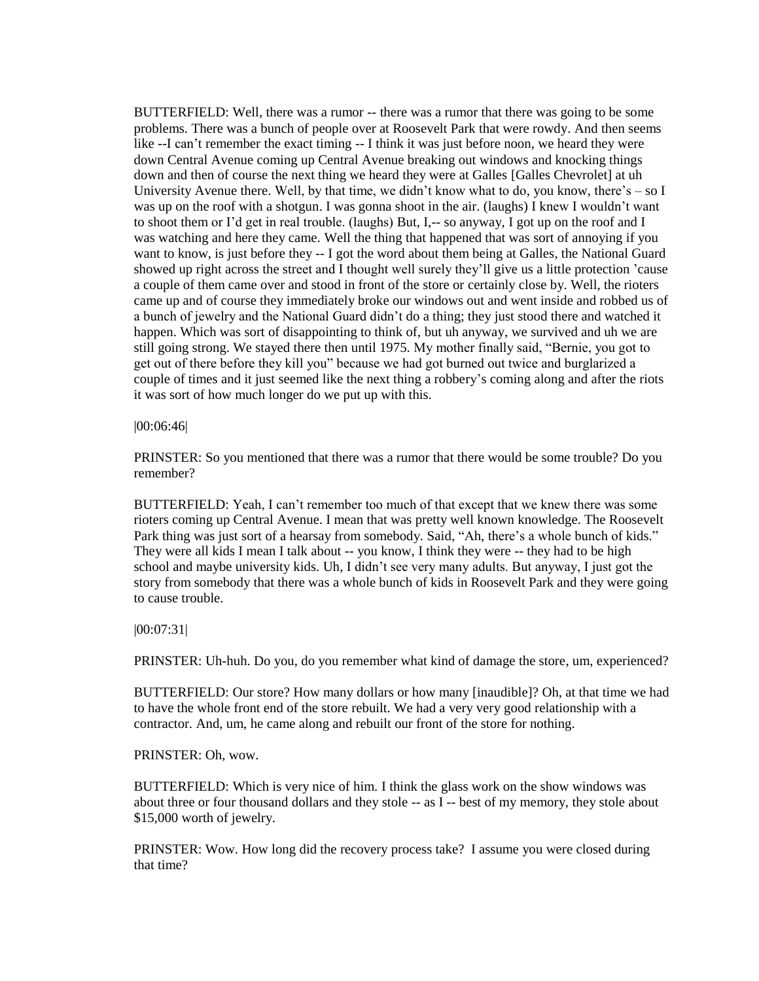BUTTERFIELD: Well, there was a rumor -- there was a rumor that there was going to be some problems. There was a bunch of people over at Roosevelt Park that were rowdy. And then seems like --I can't remember the exact timing -- I think it was just before noon, we heard they were down Central Avenue coming up Central Avenue breaking out windows and knocking things down and then of course the next thing we heard they were at Galles [Galles Chevrolet] at uh University Avenue there. Well, by that time, we didn't know what to do, you know, there's – so I was up on the roof with a shotgun. I was gonna shoot in the air. (laughs) I knew I wouldn't want to shoot them or I'd get in real trouble. (laughs) But, I,-- so anyway, I got up on the roof and I was watching and here they came. Well the thing that happened that was sort of annoying if you want to know, is just before they -- I got the word about them being at Galles, the National Guard showed up right across the street and I thought well surely they'll give us a little protection 'cause a couple of them came over and stood in front of the store or certainly close by. Well, the rioters came up and of course they immediately broke our windows out and went inside and robbed us of a bunch of jewelry and the National Guard didn't do a thing; they just stood there and watched it happen. Which was sort of disappointing to think of, but uh anyway, we survived and uh we are still going strong. We stayed there then until 1975. My mother finally said, "Bernie, you got to get out of there before they kill you" because we had got burned out twice and burglarized a couple of times and it just seemed like the next thing a robbery's coming along and after the riots it was sort of how much longer do we put up with this.

|00:06:46|

PRINSTER: So you mentioned that there was a rumor that there would be some trouble? Do you remember?

BUTTERFIELD: Yeah, I can't remember too much of that except that we knew there was some rioters coming up Central Avenue. I mean that was pretty well known knowledge. The Roosevelt Park thing was just sort of a hearsay from somebody. Said, "Ah, there's a whole bunch of kids." They were all kids I mean I talk about -- you know, I think they were -- they had to be high school and maybe university kids. Uh, I didn't see very many adults. But anyway, I just got the story from somebody that there was a whole bunch of kids in Roosevelt Park and they were going to cause trouble.

|00:07:31|

PRINSTER: Uh-huh. Do you, do you remember what kind of damage the store, um, experienced?

BUTTERFIELD: Our store? How many dollars or how many [inaudible]? Oh, at that time we had to have the whole front end of the store rebuilt. We had a very very good relationship with a contractor. And, um, he came along and rebuilt our front of the store for nothing.

PRINSTER: Oh, wow.

BUTTERFIELD: Which is very nice of him. I think the glass work on the show windows was about three or four thousand dollars and they stole -- as I -- best of my memory, they stole about \$15,000 worth of jewelry.

PRINSTER: Wow. How long did the recovery process take? I assume you were closed during that time?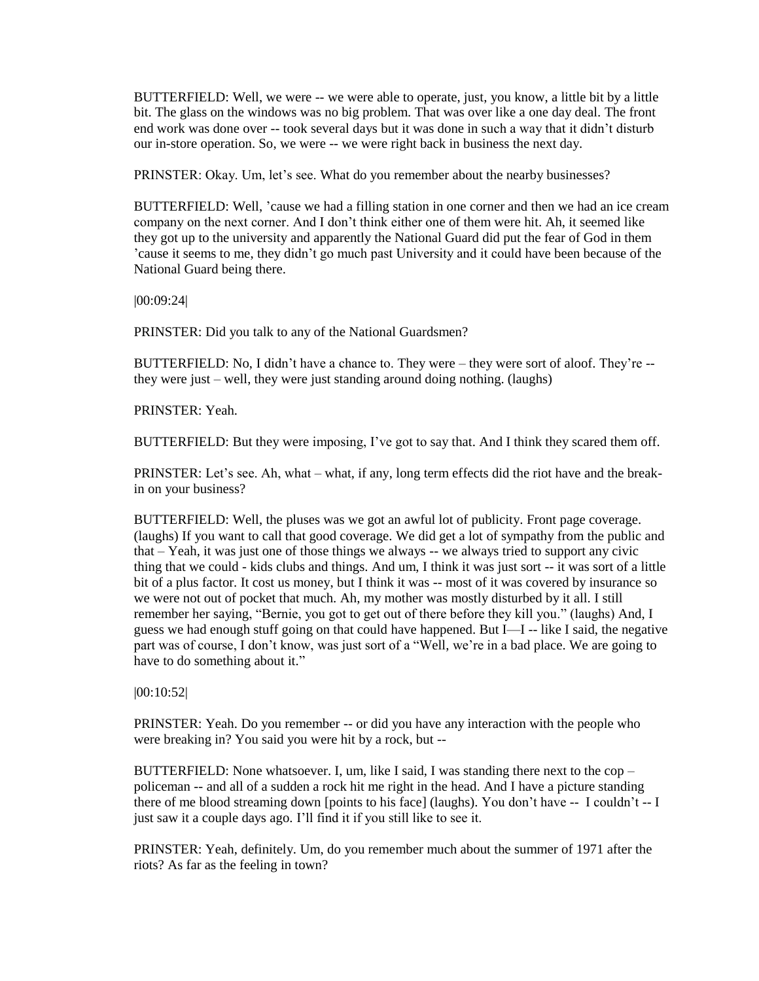BUTTERFIELD: Well, we were -- we were able to operate, just, you know, a little bit by a little bit. The glass on the windows was no big problem. That was over like a one day deal. The front end work was done over -- took several days but it was done in such a way that it didn't disturb our in-store operation. So, we were -- we were right back in business the next day.

PRINSTER: Okay. Um, let's see. What do you remember about the nearby businesses?

BUTTERFIELD: Well, 'cause we had a filling station in one corner and then we had an ice cream company on the next corner. And I don't think either one of them were hit. Ah, it seemed like they got up to the university and apparently the National Guard did put the fear of God in them 'cause it seems to me, they didn't go much past University and it could have been because of the National Guard being there.

|00:09:24|

PRINSTER: Did you talk to any of the National Guardsmen?

BUTTERFIELD: No, I didn't have a chance to. They were – they were sort of aloof. They're - they were just – well, they were just standing around doing nothing. (laughs)

PRINSTER: Yeah.

BUTTERFIELD: But they were imposing, I've got to say that. And I think they scared them off.

PRINSTER: Let's see. Ah, what – what, if any, long term effects did the riot have and the breakin on your business?

BUTTERFIELD: Well, the pluses was we got an awful lot of publicity. Front page coverage. (laughs) If you want to call that good coverage. We did get a lot of sympathy from the public and that – Yeah, it was just one of those things we always -- we always tried to support any civic thing that we could - kids clubs and things. And um, I think it was just sort -- it was sort of a little bit of a plus factor. It cost us money, but I think it was -- most of it was covered by insurance so we were not out of pocket that much. Ah, my mother was mostly disturbed by it all. I still remember her saying, "Bernie, you got to get out of there before they kill you." (laughs) And, I guess we had enough stuff going on that could have happened. But I—I -- like I said, the negative part was of course, I don't know, was just sort of a "Well, we're in a bad place. We are going to have to do something about it."

|00:10:52|

PRINSTER: Yeah. Do you remember -- or did you have any interaction with the people who were breaking in? You said you were hit by a rock, but --

BUTTERFIELD: None whatsoever. I, um, like I said, I was standing there next to the  $cop$ policeman -- and all of a sudden a rock hit me right in the head. And I have a picture standing there of me blood streaming down [points to his face] (laughs). You don't have -- I couldn't -- I just saw it a couple days ago. I'll find it if you still like to see it.

PRINSTER: Yeah, definitely. Um, do you remember much about the summer of 1971 after the riots? As far as the feeling in town?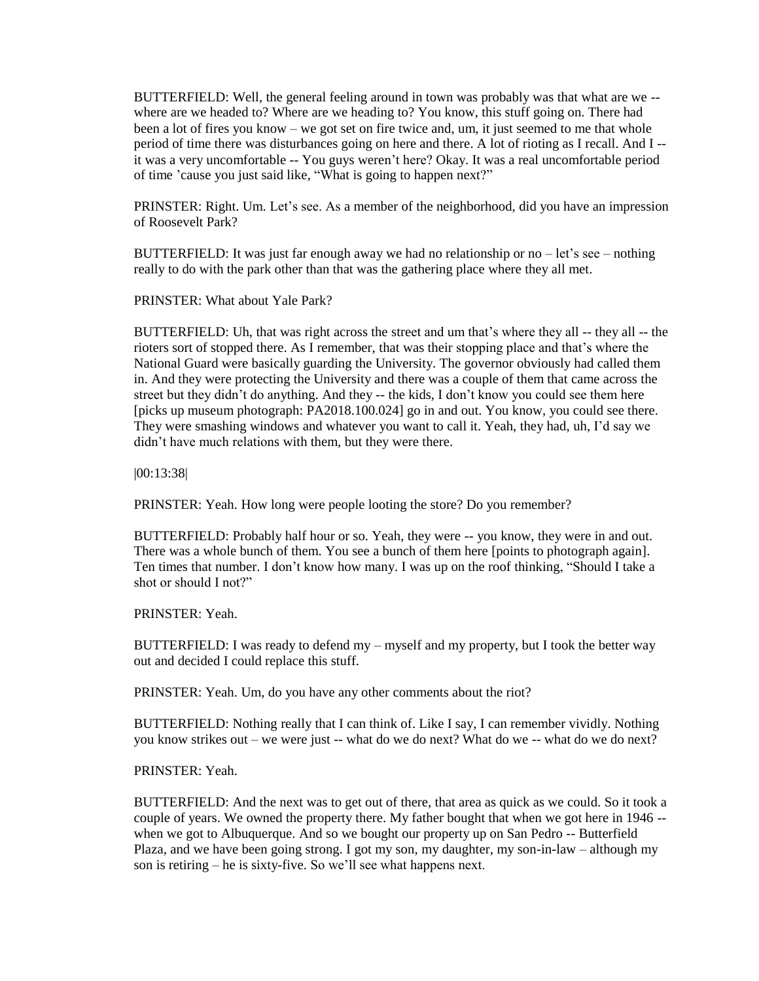BUTTERFIELD: Well, the general feeling around in town was probably was that what are we - where are we headed to? Where are we heading to? You know, this stuff going on. There had been a lot of fires you know – we got set on fire twice and, um, it just seemed to me that whole period of time there was disturbances going on here and there. A lot of rioting as I recall. And I - it was a very uncomfortable -- You guys weren't here? Okay. It was a real uncomfortable period of time 'cause you just said like, "What is going to happen next?"

PRINSTER: Right. Um. Let's see. As a member of the neighborhood, did you have an impression of Roosevelt Park?

BUTTERFIELD: It was just far enough away we had no relationship or  $no$  – let's see – nothing really to do with the park other than that was the gathering place where they all met.

PRINSTER: What about Yale Park?

BUTTERFIELD: Uh, that was right across the street and um that's where they all -- they all -- the rioters sort of stopped there. As I remember, that was their stopping place and that's where the National Guard were basically guarding the University. The governor obviously had called them in. And they were protecting the University and there was a couple of them that came across the street but they didn't do anything. And they -- the kids, I don't know you could see them here [picks up museum photograph: PA2018.100.024] go in and out. You know, you could see there. They were smashing windows and whatever you want to call it. Yeah, they had, uh, I'd say we didn't have much relations with them, but they were there.

|00:13:38|

PRINSTER: Yeah. How long were people looting the store? Do you remember?

BUTTERFIELD: Probably half hour or so. Yeah, they were -- you know, they were in and out. There was a whole bunch of them. You see a bunch of them here [points to photograph again]. Ten times that number. I don't know how many. I was up on the roof thinking, "Should I take a shot or should I not?"

PRINSTER: Yeah.

BUTTERFIELD: I was ready to defend my – myself and my property, but I took the better way out and decided I could replace this stuff.

PRINSTER: Yeah. Um, do you have any other comments about the riot?

BUTTERFIELD: Nothing really that I can think of. Like I say, I can remember vividly. Nothing you know strikes out – we were just -- what do we do next? What do we -- what do we do next?

PRINSTER: Yeah.

BUTTERFIELD: And the next was to get out of there, that area as quick as we could. So it took a couple of years. We owned the property there. My father bought that when we got here in 1946 - when we got to Albuquerque. And so we bought our property up on San Pedro -- Butterfield Plaza, and we have been going strong. I got my son, my daughter, my son-in-law – although my son is retiring – he is sixty-five. So we'll see what happens next.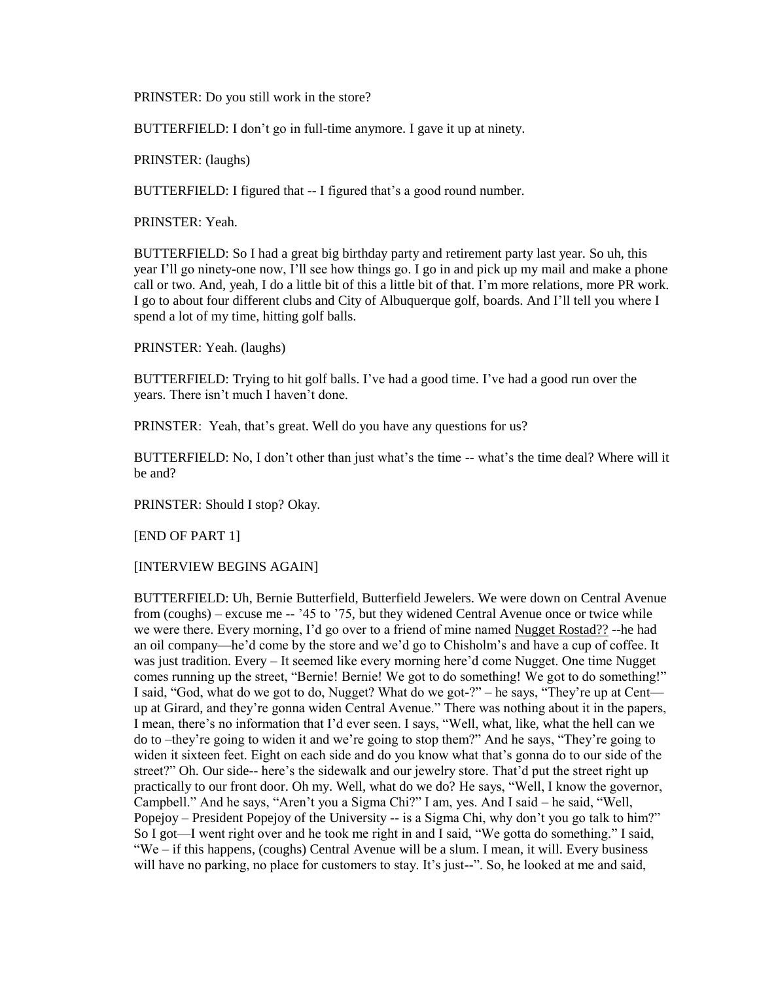PRINSTER: Do you still work in the store?

BUTTERFIELD: I don't go in full-time anymore. I gave it up at ninety.

PRINSTER: (laughs)

BUTTERFIELD: I figured that -- I figured that's a good round number.

PRINSTER: Yeah.

BUTTERFIELD: So I had a great big birthday party and retirement party last year. So uh, this year I'll go ninety-one now, I'll see how things go. I go in and pick up my mail and make a phone call or two. And, yeah, I do a little bit of this a little bit of that. I'm more relations, more PR work. I go to about four different clubs and City of Albuquerque golf, boards. And I'll tell you where I spend a lot of my time, hitting golf balls.

PRINSTER: Yeah. (laughs)

BUTTERFIELD: Trying to hit golf balls. I've had a good time. I've had a good run over the years. There isn't much I haven't done.

PRINSTER: Yeah, that's great. Well do you have any questions for us?

BUTTERFIELD: No, I don't other than just what's the time -- what's the time deal? Where will it be and?

PRINSTER: Should I stop? Okay.

[END OF PART 1]

[INTERVIEW BEGINS AGAIN]

BUTTERFIELD: Uh, Bernie Butterfield, Butterfield Jewelers. We were down on Central Avenue from (coughs) – excuse me -- '45 to '75, but they widened Central Avenue once or twice while we were there. Every morning, I'd go over to a friend of mine named Nugget Rostad?? --he had an oil company—he'd come by the store and we'd go to Chisholm's and have a cup of coffee. It was just tradition. Every – It seemed like every morning here'd come Nugget. One time Nugget comes running up the street, "Bernie! Bernie! We got to do something! We got to do something!" I said, "God, what do we got to do, Nugget? What do we got-?" – he says, "They're up at Cent up at Girard, and they're gonna widen Central Avenue." There was nothing about it in the papers, I mean, there's no information that I'd ever seen. I says, "Well, what, like, what the hell can we do to –they're going to widen it and we're going to stop them?" And he says, "They're going to widen it sixteen feet. Eight on each side and do you know what that's gonna do to our side of the street?" Oh. Our side-- here's the sidewalk and our jewelry store. That'd put the street right up practically to our front door. Oh my. Well, what do we do? He says, "Well, I know the governor, Campbell." And he says, "Aren't you a Sigma Chi?" I am, yes. And I said – he said, "Well, Popejoy – President Popejoy of the University -- is a Sigma Chi, why don't you go talk to him?" So I got—I went right over and he took me right in and I said, "We gotta do something." I said, "We – if this happens, (coughs) Central Avenue will be a slum. I mean, it will. Every business will have no parking, no place for customers to stay. It's just--". So, he looked at me and said,